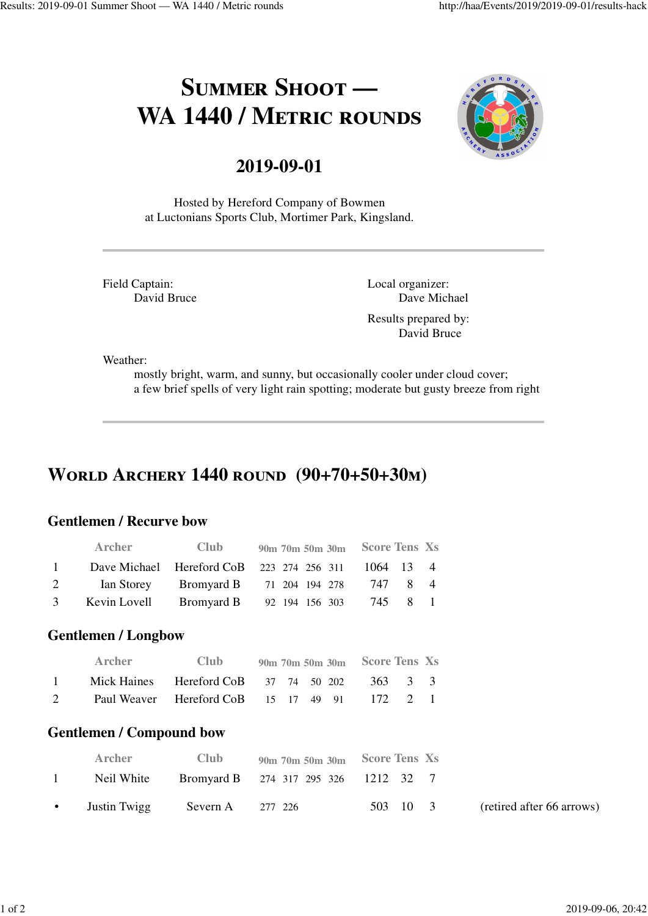# **SUMMER SHOOT —** WA 1440 / METRIC ROUNDS



### **2019-09-01**

Hosted by Hereford Company of Bowmen at Luctonians Sports Club, Mortimer Park, Kingsland.

Field Captain: David Bruce Local organizer: Dave Michael

Results prepared by: David Bruce

Weather:

mostly bright, warm, and sunny, but occasionally cooler under cloud cover; a few brief spells of very light rain spotting; moderate but gusty breeze from right

# **WORLD ARCHERY 1440 ROUND (90+70+50+30m)**

#### **Gentlemen / Recurve bow**

|          | <b>Archer</b> | <b>Club</b> | 90m 70m 50m 30m Score Tens Xs                       |  |
|----------|---------------|-------------|-----------------------------------------------------|--|
| $\sim$ 1 |               |             | Dave Michael Hereford CoB 223 274 256 311 1064 13 4 |  |
| 2        |               |             | Ian Storey Bromyard B 71 204 194 278 747 8 4        |  |
| 3        |               |             | Kevin Lovell Bromyard B 92 194 156 303 745 8 1      |  |

#### **Gentlemen / Longbow**

|              | Archer | <b>Club</b> | 90m 70m 50m 30m Score Tens Xs                 |  |
|--------------|--------|-------------|-----------------------------------------------|--|
| $\mathbf{1}$ |        |             | Mick Haines Hereford CoB 37 74 50 202 363 3 3 |  |
| $2^{\circ}$  |        |             | Paul Weaver Hereford CoB 15 17 49 91 172 2 1  |  |

#### **Gentlemen / Compound bow**

|                | Archer       | Club.               | $90m$ 70m 50m $30m$ Score Tens Xs    |          |                           |
|----------------|--------------|---------------------|--------------------------------------|----------|---------------------------|
| $\overline{1}$ | Neil White   |                     | Bromyard B 274 317 295 326 1212 32 7 |          |                           |
| $\bullet$      | Justin Twigg | Severn A $277\,226$ |                                      | 503 10 3 | (retired after 66 arrows) |